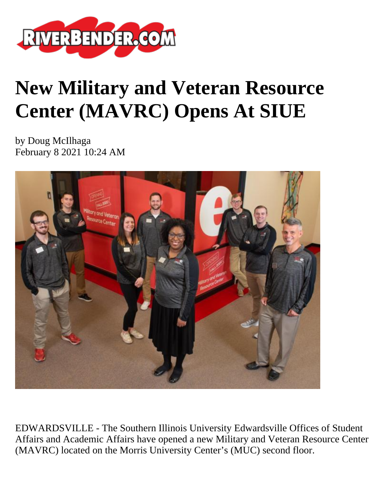

## **New Military and Veteran Resource Center (MAVRC) Opens At SIUE**

by Doug McIlhaga February 8 2021 10:24 AM



EDWARDSVILLE - The Southern Illinois University Edwardsville Offices of Student Affairs and Academic Affairs have opened a new Military and Veteran Resource Center (MAVRC) located on the Morris University Center's (MUC) second floor.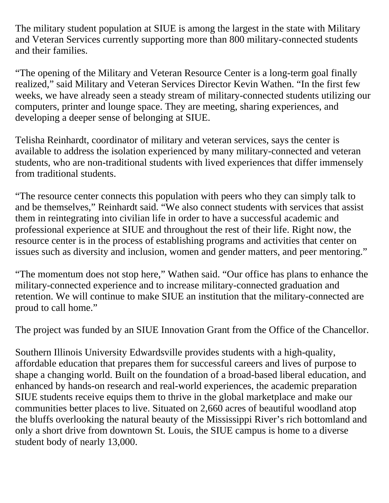The military student population at SIUE is among the largest in the state with Military and Veteran Services currently supporting more than 800 military-connected students and their families.

"The opening of the Military and Veteran Resource Center is a long-term goal finally realized," said Military and Veteran Services Director Kevin Wathen. "In the first few weeks, we have already seen a steady stream of military-connected students utilizing our computers, printer and lounge space. They are meeting, sharing experiences, and developing a deeper sense of belonging at SIUE.

Telisha Reinhardt, coordinator of military and veteran services, says the center is available to address the isolation experienced by many military-connected and veteran students, who are non-traditional students with lived experiences that differ immensely from traditional students.

"The resource center connects this population with peers who they can simply talk to and be themselves," Reinhardt said. "We also connect students with services that assist them in reintegrating into civilian life in order to have a successful academic and professional experience at SIUE and throughout the rest of their life. Right now, the resource center is in the process of establishing programs and activities that center on issues such as diversity and inclusion, women and gender matters, and peer mentoring."

"The momentum does not stop here," Wathen said. "Our office has plans to enhance the military-connected experience and to increase military-connected graduation and retention. We will continue to make SIUE an institution that the military-connected are proud to call home."

The project was funded by an SIUE Innovation Grant from the Office of the Chancellor.

Southern Illinois University Edwardsville provides students with a high-quality, affordable education that prepares them for successful careers and lives of purpose to shape a changing world. Built on the foundation of a broad-based liberal education, and enhanced by hands-on research and real-world experiences, the academic preparation SIUE students receive equips them to thrive in the global marketplace and make our communities better places to live. Situated on 2,660 acres of beautiful woodland atop the bluffs overlooking the natural beauty of the Mississippi River's rich bottomland and only a short drive from downtown St. Louis, the SIUE campus is home to a diverse student body of nearly 13,000.